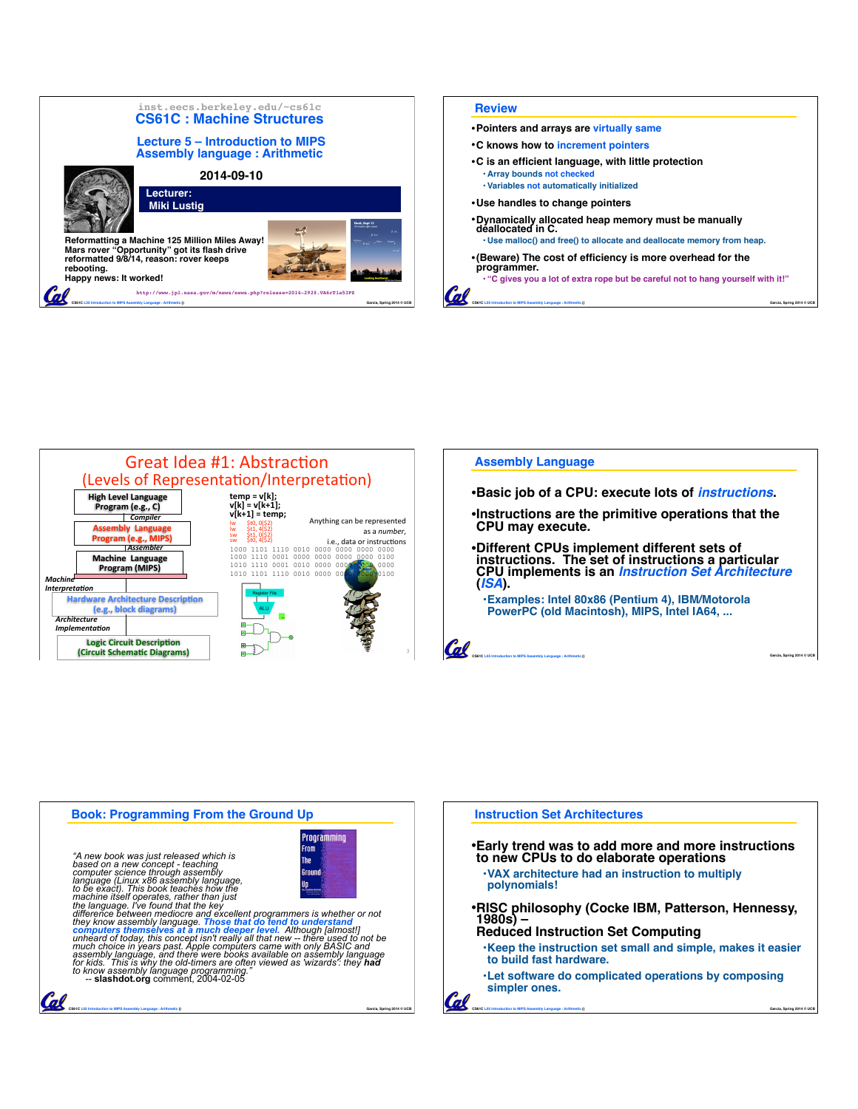



| <b>Assembly Language</b>                                               |
|------------------------------------------------------------------------|
| •Basic job of a CPU: execute lots of <i>instructions</i> .             |
| Instructions are the primitive operations that the<br>CPU may execute. |
| •Different CPUs implement different sets of                            |

•**Different CPUs implement different sets of instructions. The set of instructions a particular CPU implements is an** *Instruction Set Architecture* **(***ISA***). •Examples: Intel 80x86 (Pentium 4), IBM/Motorola** 

**CS61C L05 Introduction to MIPS Assembly Language : Arithmetic () Garcia, Spring 2014 © UCB**

**PowerPC (old Macintosh), MIPS, Intel IA64, ...**



Cal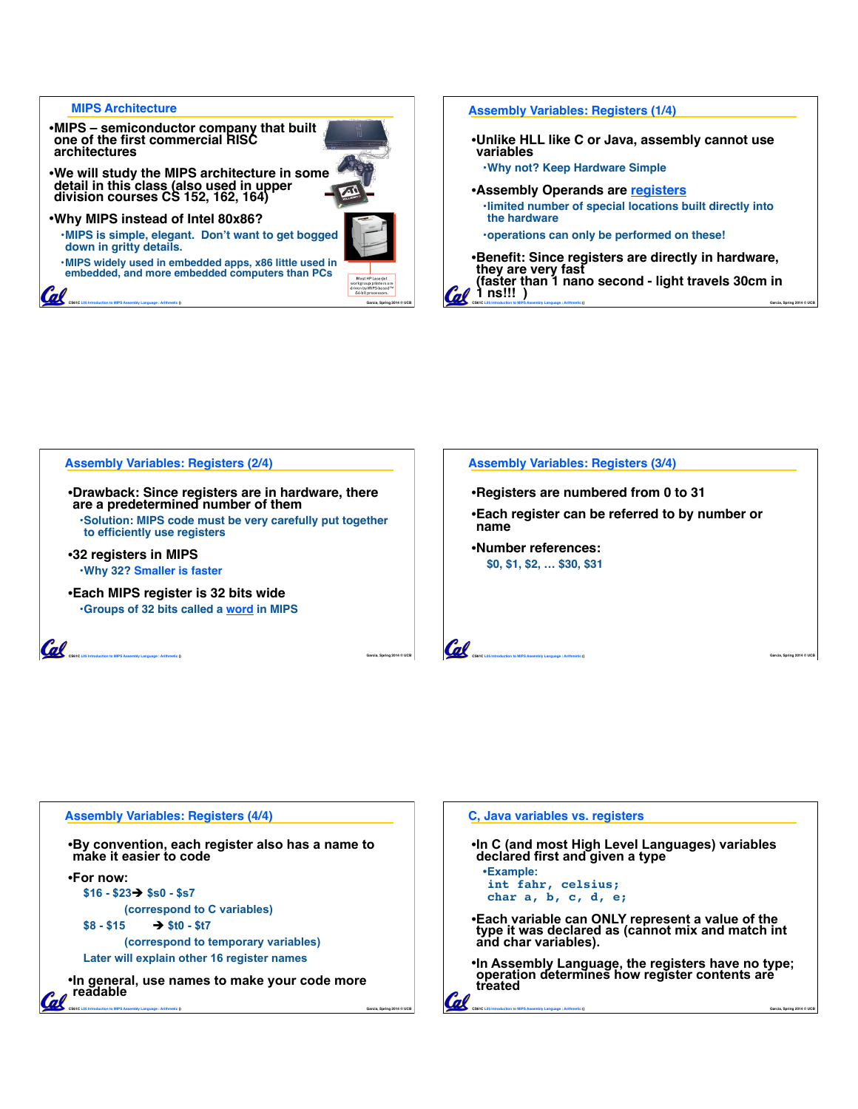## **MIPS Architecture**

**G** 

- •**MIPS semiconductor company that built one of the first commercial RISC architectures**
- •**We will study the MIPS architecture in some detail in this class (also used in upper division courses CS 152, 162, 164)**
- •**Why MIPS instead of Intel 80x86?**
	- **•MIPS is simple, elegant. Don't want to get bogged down in gritty details.**

**•MIPS widely used in embedded apps, x86 little used in embedded, and more embedded computers than PCs**

**CS61C L05 Introduction to MIPS Assembly Language : Arithmetic () Garcia, Spring 2014 © UCB**







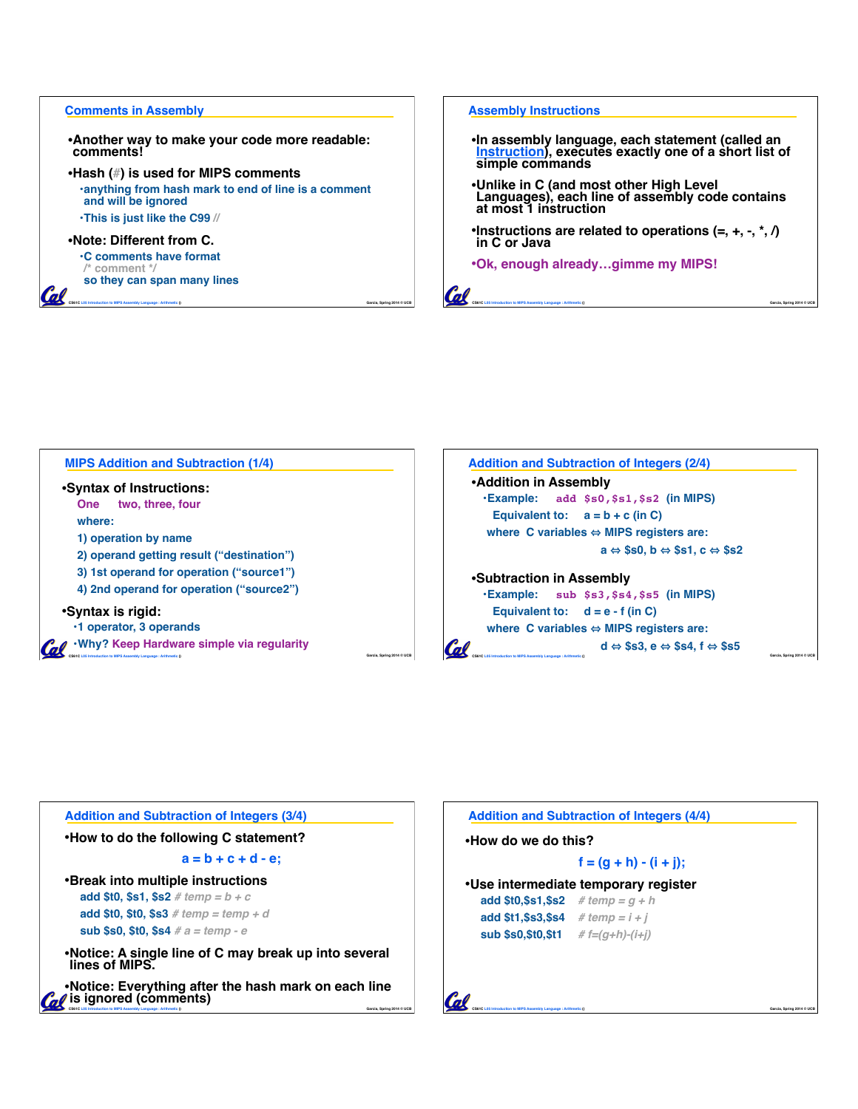### **Comments in Assembly**

•**Another way to make your code more readable: comments!**

•**Hash (#) is used for MIPS comments •anything from hash mark to end of line is a comment and will be ignored**

**CS61C L05 Introduction to MIPS Assembly Language : Arithmetic () Garcia, Spring 2014 © UCB**

**•This is just like the C99 //**

# •**Note: Different from C.**

Cal

**•C comments have format /\* comment \*/ so they can span many lines**

### **Assembly Instructions**

Cal

- •**In assembly language, each statement (called an**  <u>Instruction),</u> executes exactly one of a short list of<br>simple commands
- •**Unlike in C (and most other High Level Languages), each line of assembly code contains at most 1 instruction**
- •**Instructions are related to operations (=, +, -, \*, /) in C or Java**

**CS61C L05 Introduction to MIPS Assembly Language : Arithmetic () Garcia, Spring 2014 © UCB**

•**Ok, enough already…gimme my MIPS!**

**CS61C L05 Introduction to MIPS Assembly Language : Arithmetic () Garcia, Spring 2014 © UCB •Why? Keep Hardware simple via regularity MIPS Addition and Subtraction (1/4)** •**Syntax of Instructions: One two, three, four where: 1) operation by name 2) operand getting result ("destination") 3) 1st operand for operation ("source1") 4) 2nd operand for operation ("source2")** •**Syntax is rigid: •1 operator, 3 operands**



| <b>Addition and Subtraction of Integers (3/4)</b>                                                                                                                   |
|---------------------------------------------------------------------------------------------------------------------------------------------------------------------|
| •How to do the following C statement?                                                                                                                               |
| $a = b + c + d - e$                                                                                                                                                 |
| •Break into multiple instructions<br>add \$t0, \$s1, \$s2 # temp = $b + c$<br><b>add \$t0, \$t0, \$s3</b> # temp = temp + d<br>sub \$s0, \$t0, \$s4 $#a = temp - e$ |
| •Notice: A single line of C may break up into several<br>lines of MIPS.                                                                                             |
| •Notice: Everything after the hash mark on each line<br><i>I</i> is ignored (comments)<br>Garcia, Soring 2014 © UCB                                                 |

| •How do we do this?                   |                                      |  |
|---------------------------------------|--------------------------------------|--|
|                                       | $f = (g + h) - (i + j);$             |  |
|                                       | •Use intermediate temporary register |  |
| add \$t0,\$s1,\$s2 # temp = $q + h$   |                                      |  |
| add \$t1,\$s3,\$s4 # temp = $i + j$   |                                      |  |
| sub $$s0, $t0, $t1$ # $f=(q+h)-(i+i)$ |                                      |  |
|                                       |                                      |  |
|                                       |                                      |  |